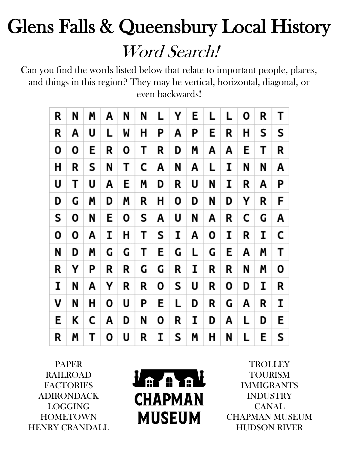## Glens Falls & Queensbury Local History Word Search!

Can you find the words listed below that relate to important people, places, and things in this region? They may be vertical, horizontal, diagonal, or even backwards!

| R | N | M | Α  | N | N | L. | Υ | E. | L | L | 0 | R | Т |
|---|---|---|----|---|---|----|---|----|---|---|---|---|---|
| R | A | U | L. | M | н | Ρ  | Α | P  | Е | R | н | S | S |
| 0 | 0 | E | R  | Ο | Т | R  | D | Μ  | Α | Α | Е | Т | R |
| Н | R | S | N  | Т | C | Α  | N | Α  | L | I | N | N | Α |
| U | Τ | U | Α  | Е | M | D  | R | U  | N | I | R | A | P |
| D | G | Μ | D  | M | R | Н  | О | D  | N | D | Υ | R | F |
| S | 0 | N | Е  | 0 | S | Α  | U | N  | Α | R | C | G | Α |
| 0 | 0 | Α | I  | Η | Τ | S  | I | Α  | 0 | I | R | I | C |
| N | D | Μ | G  | G | Τ | E  | G | L  | G | E | A | M | Τ |
| R | Υ | Ρ | R  | R | G | G  | R | I  | R | R | N | M | 0 |
| I | N | Α | Υ  | R | R | 0  | S | U  | R | 0 | D | I | R |
| ٧ | N | Н | 0  | U | Ρ | Ε  | L | D  | R | G | A | R | I |
| E | Κ | C | Α  | D | N | 0  | R | I  | D | Α | L | D | E |
| R | Μ | Т | 0  | U | R | I  | S | Μ  | Η | N | L | E | S |

PAPER RAILROAD FACTORIES ADIRONDACK LOGGING **HOMETOWN** HENRY CRANDALL

*l'a m*al **CHAPMAN MUSEUM** 

**TROLLEY TOURISM** IMMIGRANTS INDUSTRY CANAL CHAPMAN MUSEUM HUDSON RIVER